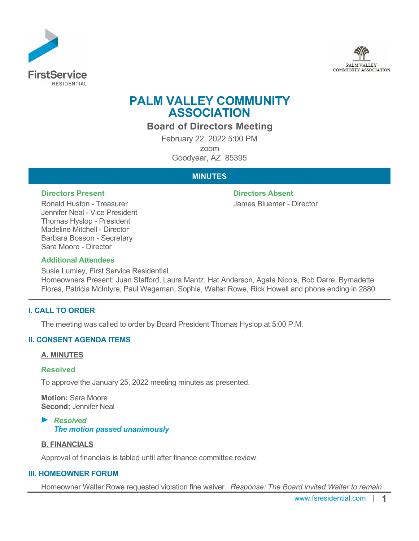



# **PALM VALLEY COMMUNITY ASSOCIATION**

**Board of Directors Meeting**

February 22, 2022 5:00 PM zoom Goodyear, AZ 85395

## **MINUTES**

#### **Directors Present Directors Absent**

Ronald Huston - Treasurer Jennifer Neal - Vice President Thomas Hyslop - President Madeline Mitchell - Director Barbara Bosson - Secretary Sara Moore - Director

James Bluemer - Director

### **Additional Attendees**

Susie Lumley, First Service Residential Homeowners Present: Juan Stafford, Laura Mantz, Hat Anderson, Agata Nicols, Bob Darre, Byrnadette Flores, Patricia McIntyre, Paul Wegeman, Sophie, Walter Rowe, Rick Howell and phone ending in 2880

## **I. CALL TO ORDER**

The meeting was called to order by Board President Thomas Hyslop at 5:00 P.M.

#### **II. CONSENT AGENDA ITEMS**

#### **A. MINUTES**

#### **Resolved**

To approve the January 25, 2022 meeting minutes as presented.

**Motion:** Sara Moore **Second:** Jennifer Neal

#### *Resolved The motion passed unanimously*

#### **B. FINANCIALS**

Approval of financials is tabled until after finance committee review.

#### **III. HOMEOWNER FORUM**

Homeowner Walter Rowe requested violation fine waiver. *Response: The Board invited Walter to remain*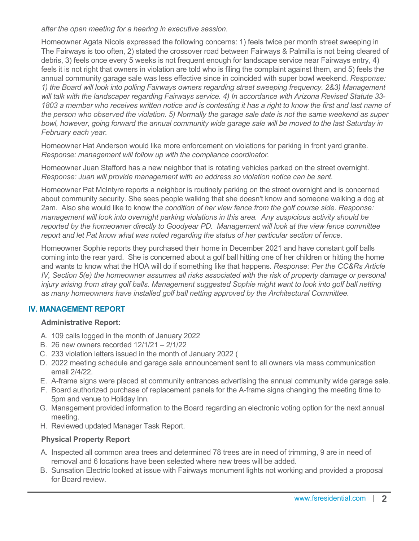*after the open meeting for a hearing in executive session.*

Homeowner Agata Nicols expressed the following concerns: 1) feels twice per month street sweeping in The Fairways is too often, 2) stated the crossover road between Fairways & Palmilla is not being cleared of debris, 3) feels once every 5 weeks is not frequent enough for landscape service near Fairways entry, 4) feels it is not right that owners in violation are told who is filing the complaint against them, and 5) feels the annual community garage sale was less effective since in coincided with super bowl weekend. *Response: 1) the Board will look into polling Fairways owners regarding street sweeping frequency. 2&3) Management will talk with the landscaper regarding Fairways service. 4) In accordance with Arizona Revised Statute 33- 1803 a member who receives written notice and is contesting it has a right to know the first and last name of the person who observed the violation. 5) Normally the garage sale date is not the same weekend as super bowl, however, going forward the annual community wide garage sale will be moved to the last Saturday in February each year.*

Homeowner Hat Anderson would like more enforcement on violations for parking in front yard granite. *Response: management will follow up with the compliance coordinator.*

Homeowner Juan Stafford has a new neighbor that is rotating vehicles parked on the street overnight. *Response: Juan will provide management with an address so violation notice can be sent.*

Homeowner Pat McIntyre reports a neighbor is routinely parking on the street overnight and is concerned about community security. She sees people walking that she doesn't know and someone walking a dog at 2am. Also she would like to know th*e condition of her view fence from the golf course side. Response: management will look into overnight parking violations in this area. Any suspicious activity should be reported by the homeowner directly to Goodyear PD. Management will look at the view fence committee report and let Pat know what was noted regarding the status of her particular section of fence.*

Homeowner Sophie reports they purchased their home in December 2021 and have constant golf balls coming into the rear yard. She is concerned about a golf ball hitting one of her children or hitting the home and wants to know what the HOA will do if something like that happens. *Response: Per the CC&Rs Article IV, Section 5(e) the homeowner assumes all risks associated with the risk of property damage or personal injury arising from stray golf balls. Management suggested Sophie might want to look into golf ball netting as many homeowners have installed golf ball netting approved by the Architectural Committee.* 

## **IV. MANAGEMENT REPORT**

## **Administrative Report:**

- A. 109 calls logged in the month of January 2022
- B. 26 new owners recorded 12/1/21 2/1/22
- C. 233 violation letters issued in the month of January 2022 (
- D. 2022 meeting schedule and garage sale announcement sent to all owners via mass communication email 2/4/22.
- E. A-frame signs were placed at community entrances advertising the annual community wide garage sale.
- F. Board authorized purchase of replacement panels for the A-frame signs changing the meeting time to 5pm and venue to Holiday Inn.
- G. Management provided information to the Board regarding an electronic voting option for the next annual meeting.
- H. Reviewed updated Manager Task Report.

## **Physical Property Report**

- A. Inspected all common area trees and determined 78 trees are in need of trimming, 9 are in need of removal and 6 locations have been selected where new trees will be added.
- B. Sunsation Electric looked at issue with Fairways monument lights not working and provided a proposal for Board review.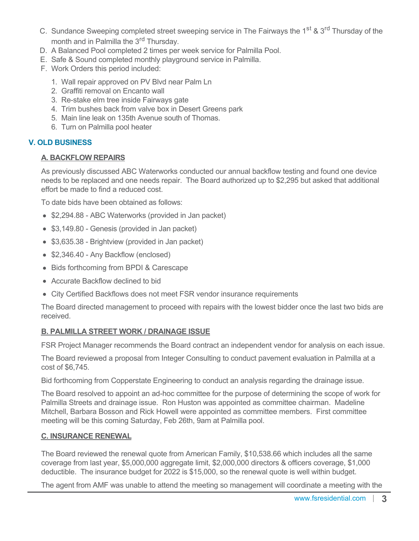- C. Sundance Sweeping completed street sweeping service in The Fairways the 1<sup>st</sup> & 3<sup>rd</sup> Thursday of the month and in Palmilla the 3<sup>rd</sup> Thursday.
- D. A Balanced Pool completed 2 times per week service for Palmilla Pool.
- E. Safe & Sound completed monthly playground service in Palmilla.
- F. Work Orders this period included:
	- 1. Wall repair approved on PV Blvd near Palm Ln
	- 2. Graffiti removal on Encanto wall
	- 3. Re-stake elm tree inside Fairways gate
	- 4. Trim bushes back from valve box in Desert Greens park
	- 5. Main line leak on 135th Avenue south of Thomas.
	- 6. Turn on Palmilla pool heater

## **V. OLD BUSINESS**

### **A. BACKFLOW REPAIRS**

As previously discussed ABC Waterworks conducted our annual backflow testing and found one device needs to be replaced and one needs repair. The Board authorized up to \$2,295 but asked that additional effort be made to find a reduced cost.

To date bids have been obtained as follows:

- \$2,294.88 ABC Waterworks (provided in Jan packet)
- \$3,149.80 Genesis (provided in Jan packet)
- \$3,635.38 Brightview (provided in Jan packet)
- \$2,346.40 Any Backflow (enclosed)
- Bids forthcoming from BPDI & Carescape
- Accurate Backflow declined to bid
- City Certified Backflows does not meet FSR vendor insurance requirements

The Board directed management to proceed with repairs with the lowest bidder once the last two bids are received.

## **B. PALMILLA STREET WORK / DRAINAGE ISSUE**

FSR Project Manager recommends the Board contract an independent vendor for analysis on each issue.

The Board reviewed a proposal from Integer Consulting to conduct pavement evaluation in Palmilla at a cost of \$6,745.

Bid forthcoming from Copperstate Engineering to conduct an analysis regarding the drainage issue.

The Board resolved to appoint an ad-hoc committee for the purpose of determining the scope of work for Palmilla Streets and drainage issue. Ron Huston was appointed as committee chairman. Madeline Mitchell, Barbara Bosson and Rick Howell were appointed as committee members. First committee meeting will be this coming Saturday, Feb 26th, 9am at Palmilla pool.

#### **C. INSURANCE RENEWAL**

The Board reviewed the renewal quote from American Family, \$10,538.66 which includes all the same coverage from last year, \$5,000,000 aggregate limit, \$2,000,000 directors & officers coverage, \$1,000 deductible. The insurance budget for 2022 is \$15,000, so the renewal quote is well within budget.

The agent from AMF was unable to attend the meeting so management will coordinate a meeting with the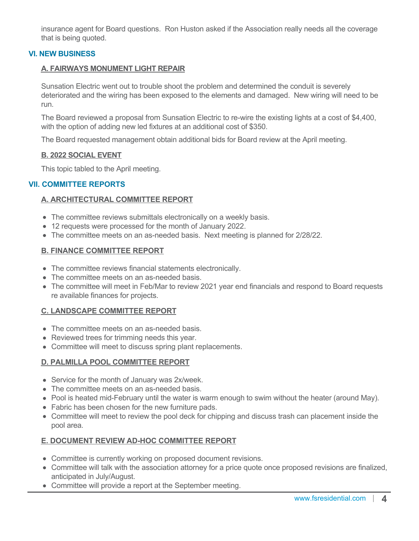insurance agent for Board questions. Ron Huston asked if the Association really needs all the coverage that is being quoted.

## **VI. NEW BUSINESS**

#### **A. FAIRWAYS MONUMENT LIGHT REPAIR**

Sunsation Electric went out to trouble shoot the problem and determined the conduit is severely deteriorated and the wiring has been exposed to the elements and damaged. New wiring will need to be run.

The Board reviewed a proposal from Sunsation Electric to re-wire the existing lights at a cost of \$4,400, with the option of adding new led fixtures at an additional cost of \$350.

The Board requested management obtain additional bids for Board review at the April meeting.

#### **B. 2022 SOCIAL EVENT**

This topic tabled to the April meeting.

### **VII. COMMITTEE REPORTS**

### **A. ARCHITECTURAL COMMITTEE REPORT**

- The committee reviews submittals electronically on a weekly basis.
- 12 requests were processed for the month of January 2022.
- The committee meets on an as-needed basis. Next meeting is planned for 2/28/22.

#### **B. FINANCE COMMITTEE REPORT**

- The committee reviews financial statements electronically.
- The committee meets on an as-needed basis.
- The committee will meet in Feb/Mar to review 2021 year end financials and respond to Board requests re available finances for projects.

#### **C. LANDSCAPE COMMITTEE REPORT**

- The committee meets on an as-needed basis.
- Reviewed trees for trimming needs this year.
- Committee will meet to discuss spring plant replacements.

#### **D. PALMILLA POOL COMMITTEE REPORT**

- Service for the month of January was 2x/week.
- The committee meets on an as-needed basis.
- Pool is heated mid-February until the water is warm enough to swim without the heater (around May).
- Fabric has been chosen for the new furniture pads.
- Committee will meet to review the pool deck for chipping and discuss trash can placement inside the pool area.

#### **E. DOCUMENT REVIEW AD-HOC COMMITTEE REPORT**

- Committee is currently working on proposed document revisions.
- Committee will talk with the association attorney for a price quote once proposed revisions are finalized, anticipated in July/August.
- Committee will provide a report at the September meeting.